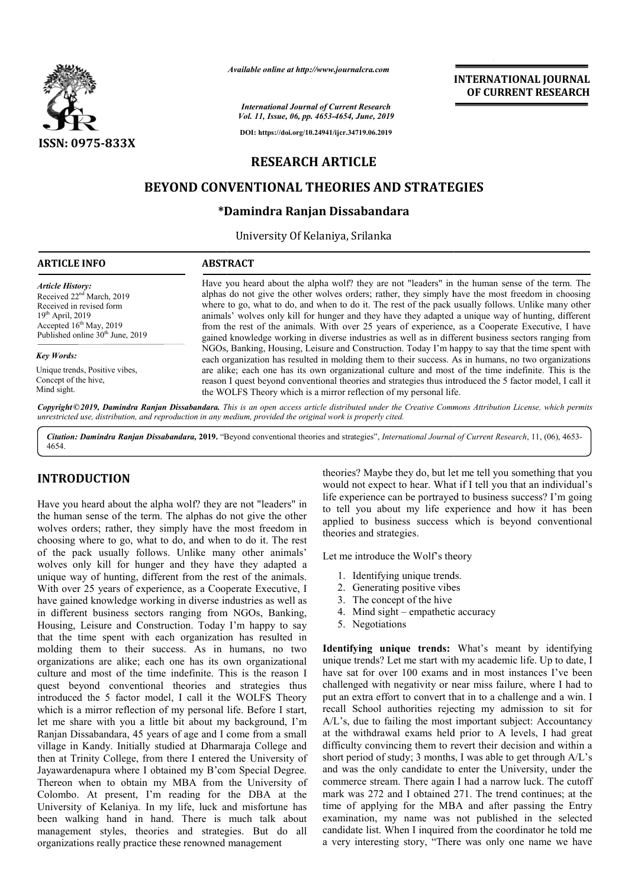

*Available online at http://www.journalcra.com*

**INTERNATIONAL JOURNAL OF CURRENT RESEARCH**

*International Journal of Current Research Vol. 11, Issue, 06, pp. 4653-4654, June, 2019*

**DOI: https://doi.org/10.24941/ijcr.34719.06.2019**

# **RESEARCH ARTICLE**

# **BEYOND CONVENTIONAL THEORIES AND STRATEGIES BEYOND CONVENTIONAL STRATEGIES**

### **\*Damindra Ranjan Dissabandara Damindra**

University Of Kelaniya, Srilanka

| <b>ARTICLE INFO</b>                          | <b>ABSTRACT</b>                                                                                                                                                                                          |
|----------------------------------------------|----------------------------------------------------------------------------------------------------------------------------------------------------------------------------------------------------------|
| <b>Article History:</b>                      | Have you heard about the alpha wolf? they are not "leaders" in the human sense of the term. The                                                                                                          |
| Received $22nd March$ , 2019                 | alphas do not give the other wolves orders; rather, they simply have the most freedom in choosing                                                                                                        |
| Received in revised form                     | where to go, what to do, and when to do it. The rest of the pack usually follows. Unlike many other                                                                                                      |
| $19th$ April, 2019                           | animals' wolves only kill for hunger and they have they adapted a unique way of hunting, different                                                                                                       |
| Accepted $16th$ May, 2019                    | from the rest of the animals. With over 25 years of experience, as a Cooperate Executive, I have                                                                                                         |
| Published online 30 <sup>th</sup> June, 2019 | gained knowledge working in diverse industries as well as in different business sectors ranging from                                                                                                     |
| <b>Key Words:</b>                            | NGOs, Banking, Housing, Leisure and Construction. Today I'm happy to say that the time spent with<br>each organization has resulted in molding them to their success. As in humans, no two organizations |
| Unique trends, Positive vibes,               | are alike; each one has its own organizational culture and most of the time indefinite. This is the                                                                                                      |
| Concept of the hive,                         | reason I quest beyond conventional theories and strategies thus introduced the 5 factor model, I call it                                                                                                 |
| Mind sight.                                  | the WOLFS Theory which is a mirror reflection of my personal life.                                                                                                                                       |

Copyright©2019, Damindra Ranjan Dissabandara. This is an open access article distributed under the Creative Commons Attribution License, which permits *unrestricted use, distribution, and reproduction in any medium, provided the original work is properly cited.*

Citation: Damindra Ranjan Dissabandara, 2019. "Beyond conventional theories and strategies", International Journal of Current Research, 11, (06), 4653-4654.

### **INTRODUCTION**

Have you heard about the alpha wolf? they are not "leaders" in the human sense of the term. The alphas do not give the other wolves orders; rather, they simply have the most freedom in choosing where to go, what to do, and when to do it. The rest of the pack usually follows. Unlike many other animals' wolves only kill for hunger and they have they adapted a unique way of hunting, different from the rest of the animals. With over 25 years of experience, as a Cooperate Executive, I have gained knowledge working in diverse industries as well as in different business sectors ranging from NGOs, Banking, Housing, Leisure and Construction. Today I'm happy to say that the time spent with each organization has resulted in molding them to their success. As in humans, no two organizations are alike; each one has its own organizational culture and most of the time indefinite. This is the reason I quest beyond conventional theories and strategies thus introduced the 5 factor model, I call it the WOLFS Theory which is a mirror reflection of my personal life. Before I start, let me share with you a little bit about my background, I'm Ranjan Dissabandara, 45 years of age and I come from a small village in Kandy. Initially studied at Dharmaraja College and then at Trinity College, from there I entered the University of Jayawardenapura where I obtained my B'com Special Degree. Thereon when to obtain my MBA from the University of Colombo. At present, I'm reading for the DBA at the University of Kelaniya. In my life, luck and misfortune has been walking hand in hand. There is much talk about management styles, theories and strategies. But do all organizations really practice these renowned management

theories? Maybe they do, but let me tell you something that you would not expect to hear. What if I tell you that an individual's life experience can be portrayed to business success? I'm going to tell you about my life experience and how it has been applied to business success which is beyond conventional theories and strategies. theories? Maybe they do, but let me tell you something that you<br>would not expect to hear. What if I tell you that an individual's<br>life experience can be portrayed to business success? I'm going<br>to tell you about my life ex

Let me introduce the Wolf's theory me introduce the Wolf's theory<br>1. Identifying unique trends.<br>2. Generating positive vibes

- 1. Identifying unique trends.
- 
- 3. The concept of the hive
- 4. Mind sight empathetic accuracy
- 5. Negotiations

**Identifying unique trends:** What's meant by identifying unique trends? Let me start with my academic life. Up to date, I have sat for over 100 exams and in most instances I've been challenged with negativity or near miss failure, where I had to unique trends? Let me start with my academic life. Up to date, I<br>have sat for over 100 exams and in most instances I've been<br>challenged with negativity or near miss failure, where I had to<br>put an extra effort to convert th recall School authorities rejecting my admission to sit for A/L's, due to failing the most important subject: Accountancy at the withdrawal exams held prior to A levels, I had great difficulty convincing them to revert their decision and within a short period of study; 3 months, I was able to get through A/L's and was the only candidate to enter the University, under the commerce stream. There again I had a narrow luck. The cutoff mark was 272 and I obtained 271. The trend continues; at the time of applying for the MBA and after passing the Entry examination, my name was not published in the selected candidate list. When I inquired from the coordinator he told me a very interesting story, "There was only one name we have authorities rejecting my admission to sit for<br>
ailing the most important subject: Accountancy<br>
wal exams held prior to A levels, I had great<br>
incing them to revert their decision and within a short period of study; 3 months, I was able to get<br>and was the only candidate to enter the Univers<br>commerce stream. There again I had a narrow lu<br>mark was 272 and I obtained 271. The trend co When me one